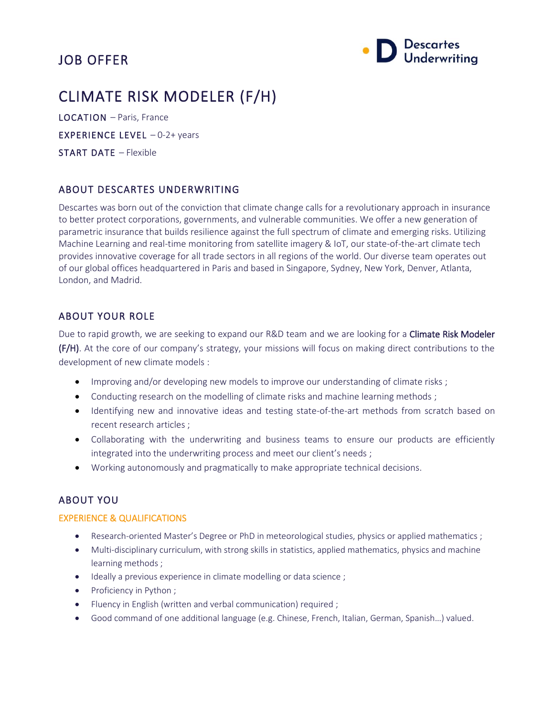# JOB OFFER



# CLIMATE RISK MODELER (F/H)

LOCATION – Paris, France EXPERIENCE LEVEL – 0-2+ years START DATE – Flexible

# ABOUT DESCARTES UNDERWRITING

Descartes was born out of the conviction that climate change calls for a revolutionary approach in insurance to better protect corporations, governments, and vulnerable communities. We offer a new generation of parametric insurance that builds resilience against the full spectrum of climate and emerging risks. Utilizing Machine Learning and real-time monitoring from satellite imagery & IoT, our state-of-the-art climate tech provides innovative coverage for all trade sectors in all regions of the world. Our diverse team operates out of our global offices headquartered in Paris and based in Singapore, Sydney, New York, Denver, Atlanta, London, and Madrid.

# ABOUT YOUR ROLE

Due to rapid growth, we are seeking to expand our R&D team and we are looking for a Climate Risk Modeler (F/H). At the core of our company's strategy, your missions will focus on making direct contributions to the development of new climate models :

- Improving and/or developing new models to improve our understanding of climate risks;
- Conducting research on the modelling of climate risks and machine learning methods ;
- Identifying new and innovative ideas and testing state-of-the-art methods from scratch based on recent research articles ;
- Collaborating with the underwriting and business teams to ensure our products are efficiently integrated into the underwriting process and meet our client's needs;
- Working autonomously and pragmatically to make appropriate technical decisions.

### ABOUT YOU

#### EXPERIENCE & QUALIFICATIONS

- Research-oriented Master's Degree or PhD in meteorological studies, physics or applied mathematics ;
- Multi-disciplinary curriculum, with strong skills in statistics, applied mathematics, physics and machine learning methods ;
- Ideally a previous experience in climate modelling or data science ;
- Proficiency in Python ;
- Fluency in English (written and verbal communication) required ;
- Good command of one additional language (e.g. Chinese, French, Italian, German, Spanish…) valued.